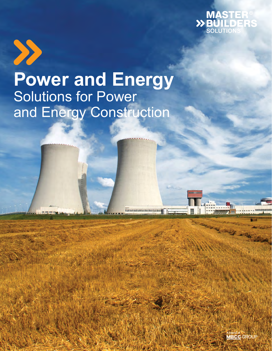



# **Power and Energy**  Solutions for Power and Energy Construction

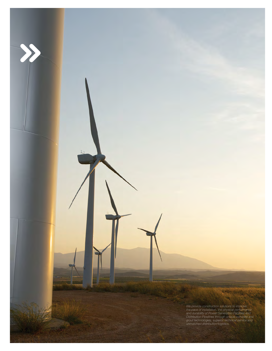*We provide construction solutions to improve the pace of installation, the physical performance and durability of Power Generation Facilities and Distribution Pipelines through unique concrete and grout technologies, superior technical service and unmatched distribution/logistics.*

**UMEN**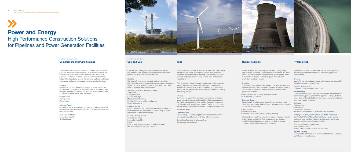# **Power and Energy** High Performance Construction Solutions for Pipelines and Power Generation Facilities

POWER TRANSMISSION **POWER GENERATION** 

**Coal and Gas**

Coal and gas power generation facilities have unique requirements. Our grout and repair products are trusted to meet and exceed these requirements.

### **Grouting**

Our MasterFlow grouting products maintain precision vibrational loads, and are proven to exhibit very low creep, even at high operating temperatures.

- **Concrete cooling towers**
- Containment areas
- Foundation rebuilds
- Slabs
- **Deterioration due to corrosion of reinforcing steel**
- Mitigation of reinforcing steel corrosion
- Turbines, generators and exciter plates
- Tank bases
- **Coal pulverizers**
- **Feedwater pumps**
- Motors and fan housings
- Structural elements and precast panels
- Conveyer supports

## Concrete Repair

Easy to apply and fast curing MasterEmaco cementitious repair materials are formulated to allow quality, durable repairs with fast return-to-service.

alignment of critical equipment even under severe torque and With a reputation for reliability and outstanding performance, the Master Builders Solutions grout and repair lines are used to minimize forces related to structural fatigue, reduce vibration and handle the unique loads and stability required in this rapidly developing market.

### **Grouting**

# **Wind**

- Concrete deficiencies (cracks, spalling)
- **Concrete surface coatings**

Master Builders Solutions is involved in wind farm construction throughout the world, working with turbine manufacturers, engineers and contractors to develop and implement specific products and systems to ensure secure, safe and durable installations.

Our full line of MasterFlow precision cementitious and epoxy grouts, including high early strength formulations, are used as the vital link between the tower and the foundation to provide load bearing and dynamic load transfer. These products meet and exceed the requirements of even the largest wind turbines.

### Foundation Rings

# Concrete Repair

Easy to apply and fast curing MasterEmaco repair materials allow quality, durable repairs with fast return-to-service.

# **Nuclear Facilities**

Master Builders Solutions fully understands the regulatory requirements of the NRC for safety related materials. We have trained customer service, production and quality control teams that monitor dedicated commercial grade materials from production to delivery on site.

# **Grouting**

Our MasterFlow grouts are formulated to provide resistance to vibration and to accept the unique demands of dynamic loading, temperature extremes and radiation found in nuclear power generation facilities.

- **Tanks, pumps, fan housings and drive motors**
- **Turbines and generators**



# Concrete Repair

Easy to apply and fast curing MasterEmaco concrete repair materials allow quality, durable repairs with fast return-to-service and radiation resistance.

- Cooling towers
- Containment area
- Concrete deficiencies (cracks, spalling, scaling)

We have been supplying commercial grade dedicated materials to the nuclear industry for four decades and are uniquely qualified, knowledgeable and audited regularly to ensure compliance with 10 CFR Appendix B criteria.

# **Hydroelectric**

Hydroelectric power facilities pose unique challenges and require expert solutions designed to withstand aggressive environments.

# **Grouting**

MasterFlow grout products provide total bearing and support for critical equipment and machinery.

Turbines and generators

Drive motors, fan housings and pumps

### Repair Mortars

Our MasterEmaco repair products are available in formulations to facilitate spray, pump, pour or hand application. They withstand freeze-thaw and are tested to protect against underwater abrasion from scouring and cavitation.

### Spillways

- Walls and piers
- Stilling basins
- **Tunnels and penstocks**
- Repair and maintenance of mass concrete structures

# Coatings, Sealants, Waterproofers and Water Repellents

Our MasterPel® and MasterSeal® solutions provide lasting protection from moisture intrusion and corrosion and ensure abrasion resistance and long service life.

- **Floor protection and maintenance**
- Seal leaks and cracks
- **Protect from moisture intrusion and abrasion**

### Injection Grouting

Our line of MasterInject® epoxies are used to fill and seal cracks and fill voids in the structure.

# **Compressors and Pump Stations**

The efficient and effective movement of natural gas, petroleum products and crude oil from where it is extracted to where it is consumed requires an extensive and elaborate network of pipelines and storage facilities. Master Builders Solutions has a full portfolio of products, used in the following applications, to keep compressor and pump station operations functioning flawlessly.

# **Grouting**

MasterFlow® grout products are designed to meet demanding requirements, providing stable volume, ease of placement, high strength, resistance to impact and vibration, controlled set times, as well as chemical and sulfate resistance.

- Compressors
- Storage tanks
- Pump bases

## Concrete Repair

A complete line of cementitious, polymer, and polymer-modified MasterEmaco® repair mortars are used to repair deficiencies and cracked concrete.

- Tank walls and floors
- **Foundation rebuild**
- Grouted bases